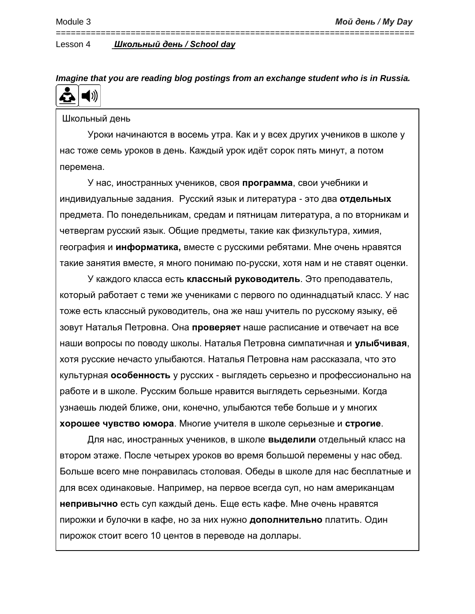*Imagine that you are reading blog postings from an exchange student who is in Russia.* Ă  $\blacktriangleleft$  ))

========================================================================

Школьный день

Уроки начинаются в восемь утра. Как и у всех других учеников в школе у нас тоже семь уроков в день. Каждый урок идёт сорок пять минут, а потом перемена.

У нас, иностранных учеников, своя **программа**, свои учебники и индивидуальные задания. Русский язык и литература - это два **отдельных** предмета. По понедельникам, средам и пятницам литература, а по вторникам и четвергам русский язык. Общие предметы, такие как физкультура, химия, география и **информатика,** вместе с русскими ребятами. Мне очень нравятся такие занятия вместе, я много понимаю по-русски, хотя нам и не ставят оценки.

У каждого класса есть **классный руководитель**. Это преподаватель, который работает с теми же учениками с первого по одиннадцатый класс. У нас тоже есть классный руководитель, она же наш учитель по русскому языку, её зовут Наталья Петровна. Она **проверяет** наше расписание и отвечает на все наши вопросы по поводу школы. Наталья Петровна симпатичная и **улыбчивая**, хотя русские нечасто улыбаются. Наталья Петровна нам рассказала, что это культурная **особенность** у русских - выглядеть серьезно и профессионально на работе и в школе. Русским больше нравится выглядеть серьезными. Когда узнаешь людей ближе, они, конечно, улыбаются тебе больше и у многих **хорошее чувство юмора**. Многие учителя в школе серьезные и **строгие**.

Для нас, иностранных учеников, в школе **выделили** отдельный класс на втором этаже. После четырех уроков во время большой перемены у нас обед. Больше всего мне понравилась столовая. Обеды в школе для нас бесплатные и для всех одинаковые. Например, на первое всегда суп, но нам американцам **непривычно** есть суп каждый день. Еще есть кафе. Мне очень нравятся пирожки и булочки в кафе, но за них нужно **дополнительно** платить. Один пирожок стоит всего 10 центов в переводе на доллары.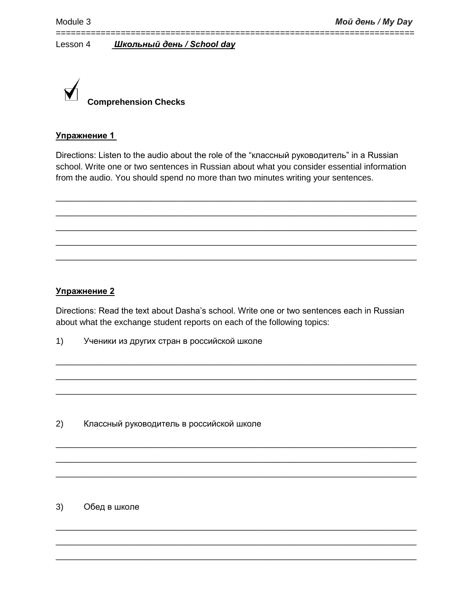

## **Упражнение 1**

Directions: Listen to the audio about the role of the "классный руководитель" in a Russian school. Write one or two sentences in Russian about what you consider essential information from the audio. You should spend no more than two minutes writing your sentences.

\_\_\_\_\_\_\_\_\_\_\_\_\_\_\_\_\_\_\_\_\_\_\_\_\_\_\_\_\_\_\_\_\_\_\_\_\_\_\_\_\_\_\_\_\_\_\_\_\_\_\_\_\_\_\_\_\_\_\_\_\_\_\_\_\_\_\_\_\_\_\_\_\_\_\_\_ \_\_\_\_\_\_\_\_\_\_\_\_\_\_\_\_\_\_\_\_\_\_\_\_\_\_\_\_\_\_\_\_\_\_\_\_\_\_\_\_\_\_\_\_\_\_\_\_\_\_\_\_\_\_\_\_\_\_\_\_\_\_\_\_\_\_\_\_\_\_\_\_\_\_\_\_ \_\_\_\_\_\_\_\_\_\_\_\_\_\_\_\_\_\_\_\_\_\_\_\_\_\_\_\_\_\_\_\_\_\_\_\_\_\_\_\_\_\_\_\_\_\_\_\_\_\_\_\_\_\_\_\_\_\_\_\_\_\_\_\_\_\_\_\_\_\_\_\_\_\_\_\_ \_\_\_\_\_\_\_\_\_\_\_\_\_\_\_\_\_\_\_\_\_\_\_\_\_\_\_\_\_\_\_\_\_\_\_\_\_\_\_\_\_\_\_\_\_\_\_\_\_\_\_\_\_\_\_\_\_\_\_\_\_\_\_\_\_\_\_\_\_\_\_\_\_\_\_\_ \_\_\_\_\_\_\_\_\_\_\_\_\_\_\_\_\_\_\_\_\_\_\_\_\_\_\_\_\_\_\_\_\_\_\_\_\_\_\_\_\_\_\_\_\_\_\_\_\_\_\_\_\_\_\_\_\_\_\_\_\_\_\_\_\_\_\_\_\_\_\_\_\_\_\_\_

========================================================================

## **Упражнение 2**

Directions: Read the text about Dasha's school. Write one or two sentences each in Russian about what the exchange student reports on each of the following topics:

\_\_\_\_\_\_\_\_\_\_\_\_\_\_\_\_\_\_\_\_\_\_\_\_\_\_\_\_\_\_\_\_\_\_\_\_\_\_\_\_\_\_\_\_\_\_\_\_\_\_\_\_\_\_\_\_\_\_\_\_\_\_\_\_\_\_\_\_\_\_\_\_\_\_\_\_ \_\_\_\_\_\_\_\_\_\_\_\_\_\_\_\_\_\_\_\_\_\_\_\_\_\_\_\_\_\_\_\_\_\_\_\_\_\_\_\_\_\_\_\_\_\_\_\_\_\_\_\_\_\_\_\_\_\_\_\_\_\_\_\_\_\_\_\_\_\_\_\_\_\_\_\_ \_\_\_\_\_\_\_\_\_\_\_\_\_\_\_\_\_\_\_\_\_\_\_\_\_\_\_\_\_\_\_\_\_\_\_\_\_\_\_\_\_\_\_\_\_\_\_\_\_\_\_\_\_\_\_\_\_\_\_\_\_\_\_\_\_\_\_\_\_\_\_\_\_\_\_\_

\_\_\_\_\_\_\_\_\_\_\_\_\_\_\_\_\_\_\_\_\_\_\_\_\_\_\_\_\_\_\_\_\_\_\_\_\_\_\_\_\_\_\_\_\_\_\_\_\_\_\_\_\_\_\_\_\_\_\_\_\_\_\_\_\_\_\_\_\_\_\_\_\_\_\_\_ \_\_\_\_\_\_\_\_\_\_\_\_\_\_\_\_\_\_\_\_\_\_\_\_\_\_\_\_\_\_\_\_\_\_\_\_\_\_\_\_\_\_\_\_\_\_\_\_\_\_\_\_\_\_\_\_\_\_\_\_\_\_\_\_\_\_\_\_\_\_\_\_\_\_\_\_ \_\_\_\_\_\_\_\_\_\_\_\_\_\_\_\_\_\_\_\_\_\_\_\_\_\_\_\_\_\_\_\_\_\_\_\_\_\_\_\_\_\_\_\_\_\_\_\_\_\_\_\_\_\_\_\_\_\_\_\_\_\_\_\_\_\_\_\_\_\_\_\_\_\_\_\_

\_\_\_\_\_\_\_\_\_\_\_\_\_\_\_\_\_\_\_\_\_\_\_\_\_\_\_\_\_\_\_\_\_\_\_\_\_\_\_\_\_\_\_\_\_\_\_\_\_\_\_\_\_\_\_\_\_\_\_\_\_\_\_\_\_\_\_\_\_\_\_\_\_\_\_\_ \_\_\_\_\_\_\_\_\_\_\_\_\_\_\_\_\_\_\_\_\_\_\_\_\_\_\_\_\_\_\_\_\_\_\_\_\_\_\_\_\_\_\_\_\_\_\_\_\_\_\_\_\_\_\_\_\_\_\_\_\_\_\_\_\_\_\_\_\_\_\_\_\_\_\_\_ \_\_\_\_\_\_\_\_\_\_\_\_\_\_\_\_\_\_\_\_\_\_\_\_\_\_\_\_\_\_\_\_\_\_\_\_\_\_\_\_\_\_\_\_\_\_\_\_\_\_\_\_\_\_\_\_\_\_\_\_\_\_\_\_\_\_\_\_\_\_\_\_\_\_\_\_

1) Ученики из других стран в российской школе

2) Классный руководитель в российской школе

# 3) Обед в школе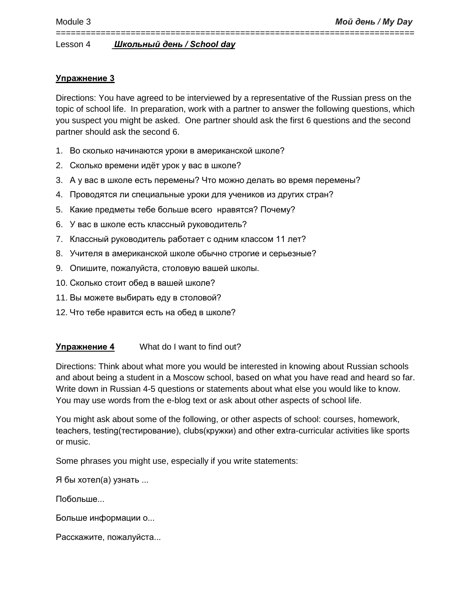# **Упражнение 3**

Directions: You have agreed to be interviewed by a representative of the Russian press on the topic of school life. In preparation, work with a partner to answer the following questions, which you suspect you might be asked. One partner should ask the first 6 questions and the second partner should ask the second 6.

========================================================================

- 1. Во сколько начинаются уроки в американской школе?
- 2. Сколько времени идёт урок у вас в школе?
- 3. А у вас в школе есть перемены? Что можно делать во время перемены?
- 4. Проводятся ли специальные уроки для учеников из других стран?
- 5. Какие предметы тебе больше всего нравятся? Почему?
- 6. У вас в школе есть классный руководитель?
- 7. Классный руководитель работает с одним классом 11 лет?
- 8. Учителя в американской школе обычно строгие и серьезные?
- 9. Опишите, пожалуйста, столовую вашей школы.
- 10. Сколько стоит обед в вашей школе?
- 11. Вы можете выбирать еду в столовой?
- 12. Что тебе нравится есть на обед в школе?

# **Упражнение 4** What do I want to find out?

Directions: Think about what more you would be interested in knowing about Russian schools and about being a student in a Moscow school, based on what you have read and heard so far. Write down in Russian 4-5 questions or statements about what else you would like to know. You may use words from the e-blog text or ask about other aspects of school life.

You might ask about some of the following, or other aspects of school: courses, homework, teachers, testing(тестирование), clubs(кружки) and other extra-curricular activities like sports or music.

Some phrases you might use, especially if you write statements:

Я бы хотел(а) узнать ...

Побольше...

Больше информации о...

Расскажите, пожалуйста...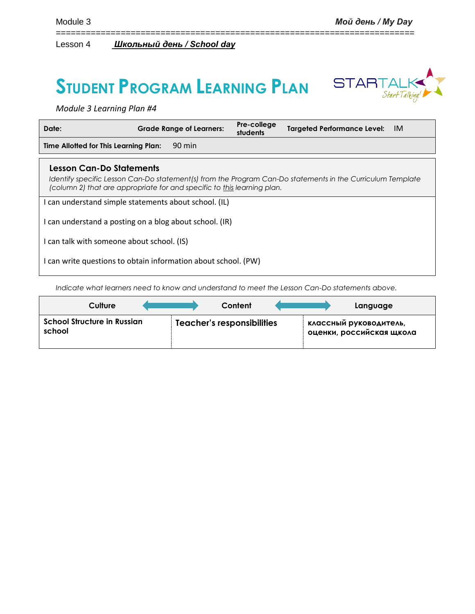# **STUDENT PROGRAM LEARNING PLAN**



*Module 3 Learning Plan #4*

| Date:                                                                                                                                                                                                             | <b>Grade Range of Learners:</b> | Pre-college<br>students | Targeted Performance Level: IM |
|-------------------------------------------------------------------------------------------------------------------------------------------------------------------------------------------------------------------|---------------------------------|-------------------------|--------------------------------|
| Time Allotted for This Learning Plan:                                                                                                                                                                             | 90 min                          |                         |                                |
| Lesson Can-Do Statements<br>Identify specific Lesson Can-Do statement(s) from the Program Can-Do statements in the Curriculum Template<br>(column 2) that are appropriate for and specific to this learning plan. |                                 |                         |                                |
| I can understand simple statements about school. (IL)                                                                                                                                                             |                                 |                         |                                |
| I can understand a posting on a blog about school. (IR)                                                                                                                                                           |                                 |                         |                                |
| I can talk with someone about school. (IS)                                                                                                                                                                        |                                 |                         |                                |
| I can write questions to obtain information about school. (PW)                                                                                                                                                    |                                 |                         |                                |

========================================================================

*Indicate what learners need to know and understand to meet the Lesson Can-Do statements above.* 

| Culture                                      | Content                    | Language                                           |
|----------------------------------------------|----------------------------|----------------------------------------------------|
| <b>School Structure in Russian</b><br>school | Teacher's responsibilities | классный руководитель,<br>оценки, российская щкола |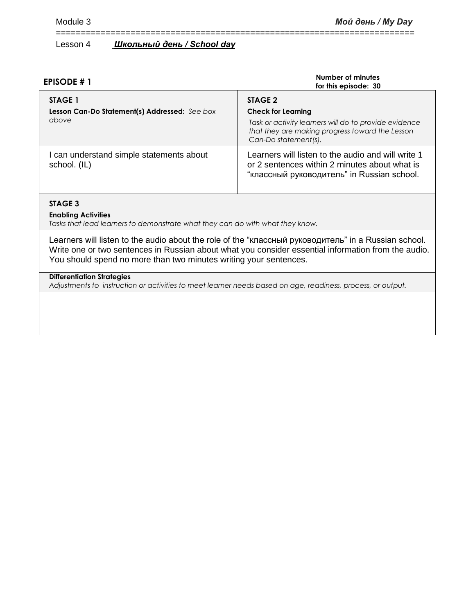| <b>EPISODE #1</b>                                                        | Number of minutes<br>for this episode: 30                                                                                                                                |  |
|--------------------------------------------------------------------------|--------------------------------------------------------------------------------------------------------------------------------------------------------------------------|--|
| <b>STAGE 1</b><br>Lesson Can-Do Statement(s) Addressed: See box<br>above | STAGE 2<br><b>Check for Learning</b><br>Task or activity learners will do to provide evidence<br>that they are making progress toward the Lesson<br>Can-Do statement(s). |  |
| I can understand simple statements about<br>school. (IL)                 | Learners will listen to the audio and will write 1<br>or 2 sentences within 2 minutes about what is<br>"классный руководитель" in Russian school.                        |  |

========================================================================

#### **STAGE 3**

#### **Enabling Activities**

*Tasks that lead learners to demonstrate what they can do with what they know.*

Learners will listen to the audio about the role of the "классный руководитель" in a Russian school. Write one or two sentences in Russian about what you consider essential information from the audio. You should spend no more than two minutes writing your sentences.

## **Differentiation Strategies**

*Adjustments to instruction or activities to meet learner needs based on age, readiness, process, or output.*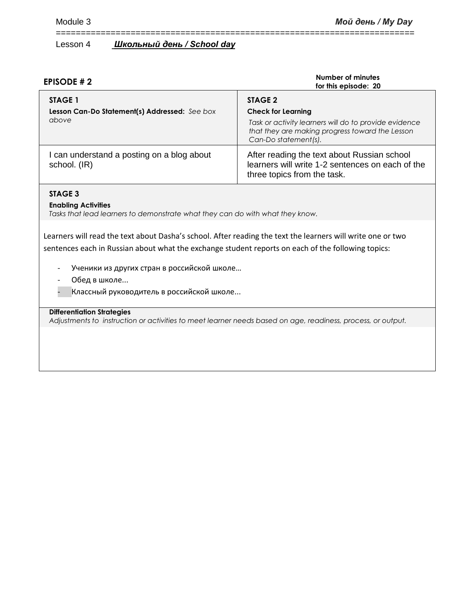| <b>EPISODE #2</b>                                                        | Number of minutes<br>for this episode: 20                                                                                                                                |  |
|--------------------------------------------------------------------------|--------------------------------------------------------------------------------------------------------------------------------------------------------------------------|--|
| <b>STAGE 1</b><br>Lesson Can-Do Statement(s) Addressed: See box<br>above | STAGE 2<br><b>Check for Learning</b><br>Task or activity learners will do to provide evidence<br>that they are making progress toward the Lesson<br>Can-Do statement(s). |  |
| I can understand a posting on a blog about<br>school. (IR)               | After reading the text about Russian school<br>learners will write 1-2 sentences on each of the<br>three topics from the task.                                           |  |

========================================================================

## **STAGE 3**

#### **Enabling Activities**

*Tasks that lead learners to demonstrate what they can do with what they know.*

Learners will read the text about Dasha's school. After reading the text the learners will write one or two sentences each in Russian about what the exchange student reports on each of the following topics:

- Ученики из других стран в российской школе…
- Обед в школе...
- Классный руководитель в российской школе...

## **Differentiation Strategies**

*Adjustments to instruction or activities to meet learner needs based on age, readiness, process, or output.*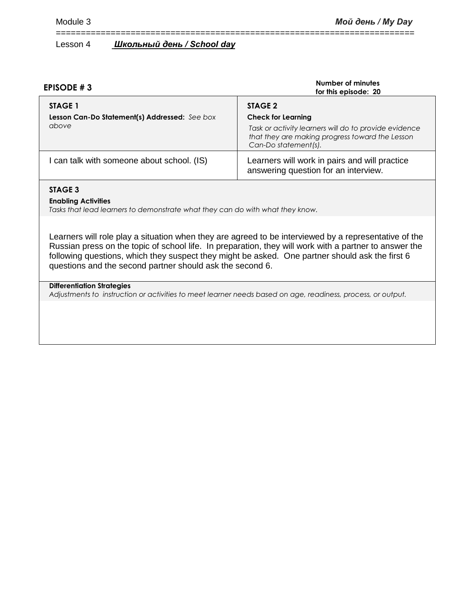| <b>EPISODE #3</b>                                                 | Number of minutes<br>for this episode: 20                                                                                                                                |  |
|-------------------------------------------------------------------|--------------------------------------------------------------------------------------------------------------------------------------------------------------------------|--|
| STAGE 1<br>Lesson Can-Do Statement(s) Addressed: See box<br>above | STAGE 2<br><b>Check for Learning</b><br>Task or activity learners will do to provide evidence<br>that they are making progress toward the Lesson<br>Can-Do statement(s). |  |
| I can talk with someone about school. (IS)                        | Learners will work in pairs and will practice<br>answering question for an interview.                                                                                    |  |

========================================================================

#### **STAGE 3**

#### **Enabling Activities**

*Tasks that lead learners to demonstrate what they can do with what they know.*

Learners will role play a situation when they are agreed to be interviewed by a representative of the Russian press on the topic of school life. In preparation, they will work with a partner to answer the following questions, which they suspect they might be asked. One partner should ask the first 6 questions and the second partner should ask the second 6.

## **Differentiation Strategies**

*Adjustments to instruction or activities to meet learner needs based on age, readiness, process, or output.*